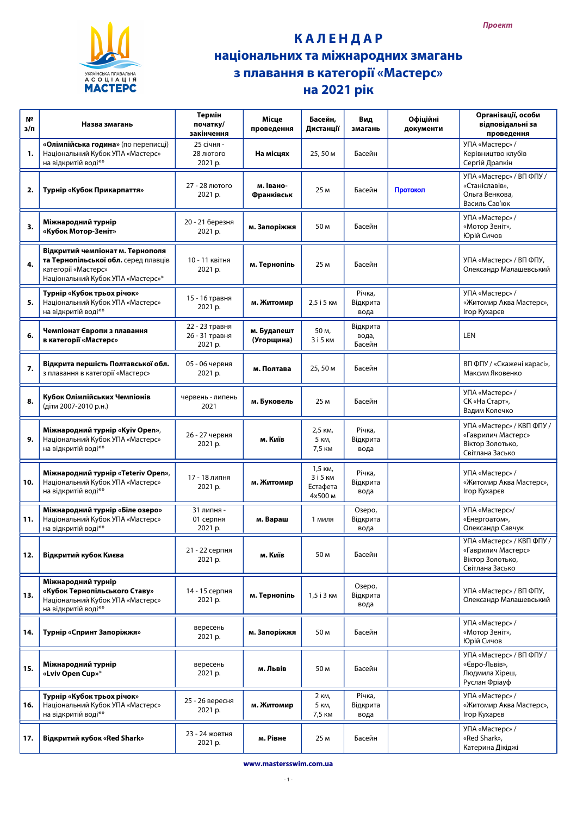

## **КАЛЕНДАР** національних та міжнародних змагань з плавання в категорії «Мастерс» на 2021 рік

| N <sup>2</sup><br>$3/\Pi$ | Назва змагань                                                                                                                        | Термін<br>початку/<br>закінчення            | Місце<br>проведення            | Басейн,<br>Дистанції                       | Вид<br>змагань              | Офіційні<br>документи | Організації, особи<br>відповідальні за<br>проведення                                   |
|---------------------------|--------------------------------------------------------------------------------------------------------------------------------------|---------------------------------------------|--------------------------------|--------------------------------------------|-----------------------------|-----------------------|----------------------------------------------------------------------------------------|
| 1.                        | «Олімпійська година» (по переписці)<br>Національний Кубок УПА «Мастерс»<br>на відкритій воді**                                       | 25 січня -<br>28 лютого<br>2021 p.          | На місцях                      | 25,50 M                                    | Басейн                      |                       | УПА «Мастерс» /<br>Керівництво клубів<br>Сергій Драпкін                                |
| 2.                        | Турнір «Кубок Прикарпаття»                                                                                                           | 27 - 28 лютого<br>2021 p.                   | м. Івано-<br><b>Франківськ</b> | 25 M                                       | Басейн                      | Протокол              | УПА «Мастерс» / ВП ФПУ /<br>«Станіславів»,<br>Ольга Венкова,<br>Василь Сав'юк          |
| 3.                        | Міжнародний турнір<br>«Кубок Мотор-Зеніт»                                                                                            | 20 - 21 березня<br>2021 p.                  | м. Запоріжжя                   | 50 M                                       | Басейн                      |                       | УПА «Мастерс» /<br>«Мотор Зеніт»,<br>Юрій Сичов                                        |
| 4.                        | Відкритий чемпіонат м. Тернополя<br>та Тернопільської обл. серед плавців<br>категорії «Мастерс»<br>Національний Кубок УПА «Мастерс»* | 10 - 11 квітня<br>2021 p.                   | м. Тернопіль                   | 25 M                                       | Басейн                      |                       | УПА «Мастерс» / ВП ФПУ,<br>Олександр Малашевський                                      |
| 5.                        | Турнір «Кубок трьох річок»<br>Національний Кубок УПА «Мастерс»<br>на відкритій воді**                                                | 15 - 16 травня<br>2021 p.                   | м. Житомир                     | 2,5 i 5 KM                                 | Річка,<br>Відкрита<br>вода  |                       | УПА «Мастерс» /<br>«Житомир Аква Мастерс»,<br>Ігор Кухарєв                             |
| 6.                        | Чемпіонат Європи з плавання<br>в категорії «Мастерс»                                                                                 | 22 - 23 травня<br>26 - 31 травня<br>2021 p. | м. Будапешт<br>(Угорщина)      | 50 m,<br>3 і 5 км                          | Відкрита<br>вода,<br>Басейн |                       | <b>LEN</b>                                                                             |
| 7.                        | Відкрита першість Полтавської обл.<br>з плавання в категорії «Мастерс»                                                               | 05 - 06 червня<br>2021 p.                   | м. Полтава                     | 25,50 M                                    | Басейн                      |                       | ВП ФПУ / «Скажені карасі»,<br>Максим Яковенко                                          |
| 8.                        | Кубок Олімпійських Чемпіонів<br>(діти 2007-2010 р.н.)                                                                                | червень - липень<br>2021                    | м. Буковель                    | 25 M                                       | Басейн                      |                       | УПА «Мастерс» /<br>СК «На Старт»,<br>Вадим Колечко                                     |
| 9.                        | Міжнародний турнір «Kyiv Open»,<br>Національний Кубок УПА «Мастерс»<br>на відкритій воді**                                           | 26 - 27 червня<br>2021 p.                   | м. Київ                        | 2,5 км,<br>5 KM,<br>7,5 KM                 | Річка,<br>Відкрита<br>вода  |                       | УПА «Мастерс» / КВП ФПУ /<br>«Гаврилич Мастерс»<br>Віктор Золотько,<br>Світлана Засько |
| 10.                       | Міжнародний турнір «Teteriv Open»,<br>Національний Кубок УПА «Мастерс»<br>на відкритій воді**                                        | 17 - 18 липня<br>2021 p.                    | м. Житомир                     | 1,5 км,<br>3 і 5 км<br>Естафета<br>4x500 M | Річка,<br>Відкрита<br>вода  |                       | УПА «Мастерс» /<br>«Житомир Аква Мастерс»,<br>Ігор Кухарєв                             |
| 11.                       | Міжнародний турнір «Біле озеро»<br>Національний Кубок УПА «Мастерс»<br>на відкритій воді**                                           | 31 липня -<br>01 серпня<br>2021 p.          | м. Вараш                       | 1 миля                                     | Озеро,<br>Відкрита<br>вода  |                       | УПА «Мастерс»/<br>«Енергоатом»,<br>Олександр Савчук                                    |
| 12.                       | Відкритий кубок Києва                                                                                                                | 21 - 22 серпня<br>2021 p.                   | м. Київ                        | 50 M                                       | Басейн                      |                       | УПА «Мастерс» / КВП ФПУ /<br>«Гаврилич Мастерс»<br>Віктор Золотько,<br>Світлана Засько |
| 13.                       | Міжнародний турнір<br>«Кубок Тернопільського Ставу»<br>Національний Кубок УПА «Мастерс»<br>на відкритій воді**                       | 14 - 15 серпня<br>2021 p.                   | м. Тернопіль                   | 1,5 і 3 км                                 | Озеро,<br>Відкрита<br>вода  |                       | УПА «Мастерс» / ВП ФПУ,<br>Олександр Малашевський                                      |
| 14.                       | Турнір «Спринт Запоріжжя»                                                                                                            | вересень<br>2021 p.                         | м. Запоріжжя                   | 50 M                                       | Басейн                      |                       | УПА «Мастерс» /<br>«Мотор Зеніт»,<br>Юрій Сичов                                        |
| 15.                       | Міжнародний турнір<br>«Lviv Open Cup»*                                                                                               | вересень<br>2021 p.                         | м. Львів                       | 50 M                                       | Басейн                      |                       | УПА «Мастерс» / ВП ФПУ /<br>«Євро-Львів»,<br>Людмила Хіреш,<br>Руслан Фріауф           |
| 16.                       | Турнір «Кубок трьох річок»<br>Національний Кубок УПА «Мастерс»<br>на відкритій воді**                                                | 25 - 26 вересня<br>2021 p.                  | м. Житомир                     | 2 KM,<br>5 KM,<br>7,5 KM                   | Річка,<br>Відкрита<br>вода  |                       | УПА «Мастерс» /<br>«Житомир Аква Мастерс»,<br>Ігор Кухарєв                             |
| 17.                       | Відкритий кубок «Red Shark»                                                                                                          | 23 - 24 жовтня<br>2021 p.                   | м. Рівне                       | 25 M                                       | Басейн                      |                       | УПА «Мастерс» /<br>«Red Shark»,<br>Катерина Дікіджі                                    |

www.mastersswim.com.ua